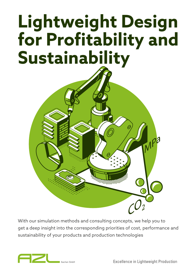# **Lightweight Design for Profitability and Sustainability**



With our simulation methods and consulting concepts, we help you to get a deep insight into the corresponding priorities of cost, performance and sustainability of your products and production technologies